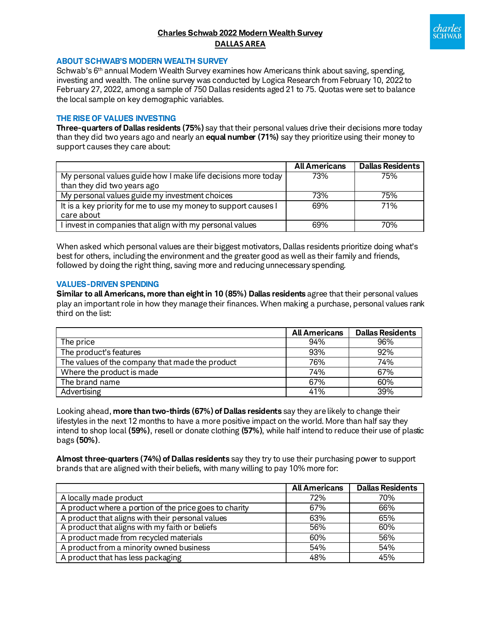## **Charles Schwab 2022 Modern Wealth Survey DALLAS AREA**



#### **ABOUT SCHWAB'S MODERN WEALTH SURVEY**

Schwab's 6<sup>th</sup> annual Modern Wealth Survey examines how Americans think about saving, spending, investing and wealth. The online survey was conducted by Logica Research from February 10, 2022 to February 27, 2022, among a sample of 750 Dallas residents aged 21 to 75. Quotas were set to balance the local sample on key demographic variables.

#### **THE RISE OF VALUES INVESTING**

**Three-quarters of Dallas residents (75%)** say that their personal values drive their decisions more today than they did two years ago and nearly an **equal number (71%)** say they prioritize using their money to support causes they care about:

|                                                                 | <b>All Americans</b> | <b>Dallas Residents</b> |
|-----------------------------------------------------------------|----------------------|-------------------------|
| My personal values guide how I make life decisions more today   | 73%                  | 75%                     |
| than they did two years ago                                     |                      |                         |
| My personal values guide my investment choices                  | 73%                  | 75%                     |
| It is a key priority for me to use my money to support causes I | 69%                  | 71%                     |
| care about                                                      |                      |                         |
| I invest in companies that align with my personal values        | 69%                  | 70%                     |

When asked which personal values are their biggest motivators, Dallas residents prioritize doing what's best for others, including the environment and the greater good as well as their family and friends, followed by doing the right thing, saving more and reducing unnecessary spending.

#### **VALUES-DRIVEN SPENDING**

**Similar to all Americans, more than eight in 10 (85%) Dallas residents** agree that their personal values play an important role in how they manage their finances. When making a purchase, personal values rank third on the list:

|                                                 | <b>All Americans</b> | <b>Dallas Residents</b> |
|-------------------------------------------------|----------------------|-------------------------|
| The price                                       | 94%                  | 96%                     |
| The product's features                          | 93%                  | 92%                     |
| The values of the company that made the product | 76%                  | 74%                     |
| Where the product is made                       | 74%                  | 67%                     |
| The brand name                                  | 67%                  | 60%                     |
| Advertising                                     | 41%                  | 39%                     |

Looking ahead, **more than two-thirds (67%) of Dallas residents** say they are likely to change their lifestyles in the next 12 months to have a more positive impact on the world. More than half say they intend to shop local **(59%)**, resell or donate clothing **(57%)**, while half intend to reduce their use of plastic bags **(50%)**.

**Almost three-quarters (74%) of Dallas residents** say they try to use their purchasing power to support brands that are aligned with their beliefs, with many willing to pay 10% more for:

|                                                        | <b>All Americans</b> | <b>Dallas Residents</b> |
|--------------------------------------------------------|----------------------|-------------------------|
| A locally made product                                 | 72%                  | 70%                     |
| A product where a portion of the price goes to charity | 67%                  | 66%                     |
| A product that aligns with their personal values       | 63%                  | 65%                     |
| A product that aligns with my faith or beliefs         | 56%                  | 60%                     |
| A product made from recycled materials                 | 60%                  | 56%                     |
| A product from a minority owned business               | 54%                  | 54%                     |
| A product that has less packaging                      | 48%                  | 45%                     |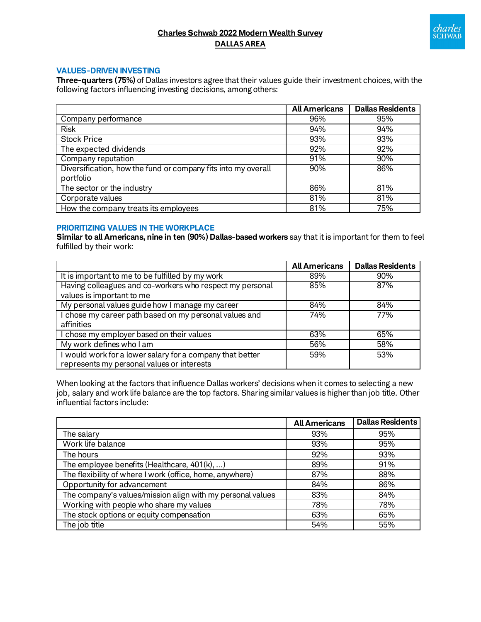# *charles*<br>sCHWAB

## **Charles Schwab 2022 Modern Wealth Survey DALLAS AREA**

#### **VALUES-DRIVEN INVESTING**

**Three-quarters (75%)** of Dallas investors agree that their values guide their investment choices, with the following factors influencing investing decisions, among others:

|                                                               | <b>All Americans</b> | <b>Dallas Residents</b> |
|---------------------------------------------------------------|----------------------|-------------------------|
| Company performance                                           | 96%                  | 95%                     |
| <b>Risk</b>                                                   | 94%                  | 94%                     |
| <b>Stock Price</b>                                            | 93%                  | 93%                     |
| The expected dividends                                        | 92%                  | 92%                     |
| Company reputation                                            | 91%                  | 90%                     |
| Diversification, how the fund or company fits into my overall | 90%                  | 86%                     |
| portfolio                                                     |                      |                         |
| The sector or the industry                                    | 86%                  | 81%                     |
| Corporate values                                              | 81%                  | 81%                     |
| How the company treats its employees                          | 81%                  | 75%                     |

### **PRIORITIZING VALUES IN THE WORKPLACE**

**Similar to all Americans, nine in ten (90%) Dallas-based workers** say that it is important for them to feel fulfilled by their work:

|                                                           | <b>All Americans</b> | <b>Dallas Residents</b> |
|-----------------------------------------------------------|----------------------|-------------------------|
| It is important to me to be fulfilled by my work          | 89%                  | 90%                     |
| Having colleagues and co-workers who respect my personal  | 85%                  | 87%                     |
| values is important to me                                 |                      |                         |
| My personal values guide how I manage my career           | 84%                  | 84%                     |
| I chose my career path based on my personal values and    | 74%                  | 77%                     |
| affinities                                                |                      |                         |
| I chose my employer based on their values                 | 63%                  | 65%                     |
| My work defines who I am                                  | 56%                  | 58%                     |
| I would work for a lower salary for a company that better | 59%                  | 53%                     |
| represents my personal values or interests                |                      |                         |

When looking at the factors that influence Dallas workers' decisions when it comes to selecting a new job, salary and work life balance are the top factors. Sharing similar values is higher than job title. Other influential factors include:

|                                                            | <b>All Americans</b> | <b>Dallas Residents</b> |
|------------------------------------------------------------|----------------------|-------------------------|
| The salary                                                 | 93%                  | 95%                     |
| Work life balance                                          | 93%                  | 95%                     |
| The hours                                                  | 92%                  | 93%                     |
| The employee benefits (Healthcare, $401(k), $ )            | 89%                  | 91%                     |
| The flexibility of where I work (office, home, anywhere)   | 87%                  | 88%                     |
| Opportunity for advancement                                | 84%                  | 86%                     |
| The company's values/mission align with my personal values | 83%                  | 84%                     |
| Working with people who share my values                    | 78%                  | 78%                     |
| The stock options or equity compensation                   | 63%                  | 65%                     |
| The job title                                              | 54%                  | 55%                     |